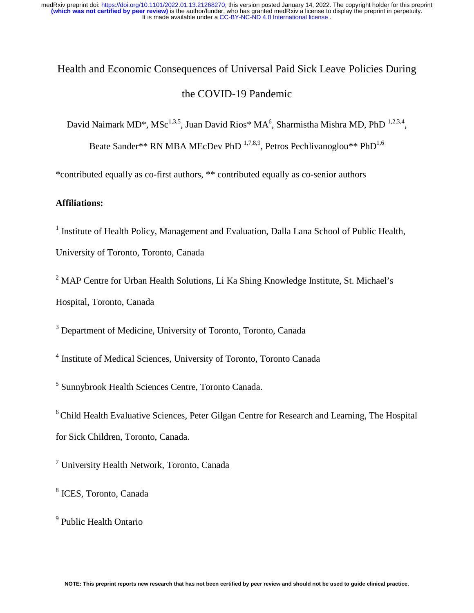# Health and Economic Consequences of Universal Paid Sick Leave Policies During the COVID-19 Pandemic

David Naimark MD\*, MSc<sup>1,3,5</sup>, Juan David Rios\* MA<sup>6</sup>, Sharmistha Mishra MD, PhD<sup>1,2,3,4</sup>,

Beate Sander\*\* RN MBA MEcDev PhD  $^{1,7,8,9}$ , Petros Pechlivanoglou\*\* PhD<sup>1,6</sup>

\*contributed equally as co-first authors, \*\* contributed equally as co-senior authors

## **Affiliations:**

<sup>1</sup> Institute of Health Policy, Management and Evaluation, Dalla Lana School of Public Health,

University of Toronto, Toronto, Canada

<sup>2</sup> MAP Centre for Urban Health Solutions, Li Ka Shing Knowledge Institute, St. Michael's Hospital, Toronto, Canada

<sup>3</sup> Department of Medicine, University of Toronto, Toronto, Canada

<sup>4</sup> Institute of Medical Sciences, University of Toronto, Toronto Canada

5 Sunnybrook Health Sciences Centre, Toronto Canada.

6 Child Health Evaluative Sciences, Peter Gilgan Centre for Research and Learning, The Hospital for Sick Children, Toronto, Canada.

<sup>7</sup> University Health Network, Toronto, Canada

8 ICES, Toronto, Canada

9 Public Health Ontario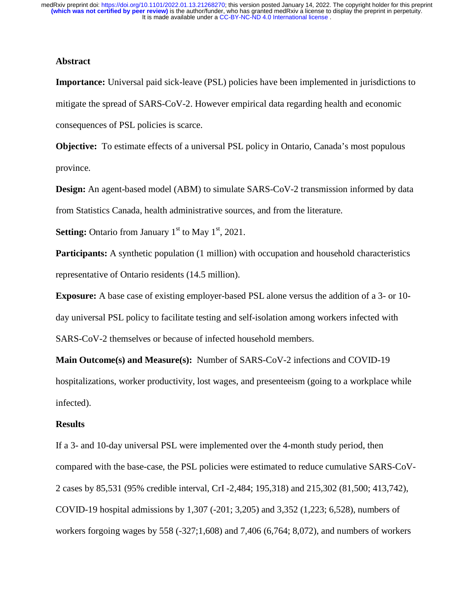#### **Abstract**

**Importance:** Universal paid sick-leave (PSL) policies have been implemented in jurisdictions to mitigate the spread of SARS-CoV-2. However empirical data regarding health and economic consequences of PSL policies is scarce.

**Objective:** To estimate effects of a universal PSL policy in Ontario, Canada's most populous province.

**Design:** An agent-based model (ABM) to simulate SARS-CoV-2 transmission informed by data from Statistics Canada, health administrative sources, and from the literature.

**Setting:** Ontario from January  $1<sup>st</sup>$  to May  $1<sup>st</sup>$ , 2021.

**Participants:** A synthetic population (1 million) with occupation and household characteristics representative of Ontario residents (14.5 million).

**Exposure:** A base case of existing employer-based PSL alone versus the addition of a 3- or 10 day universal PSL policy to facilitate testing and self-isolation among workers infected with SARS-CoV-2 themselves or because of infected household members.

**Main Outcome(s) and Measure(s):** Number of SARS-CoV-2 infections and COVID-19 hospitalizations, worker productivity, lost wages, and presenteeism (going to a workplace while infected).

#### **Results**

If a 3- and 10-day universal PSL were implemented over the 4-month study period, then compared with the base-case, the PSL policies were estimated to reduce cumulative SARS-CoV-2 cases by 85,531 (95% credible interval, CrI -2,484; 195,318) and 215,302 (81,500; 413,742), COVID-19 hospital admissions by 1,307 (-201; 3,205) and 3,352 (1,223; 6,528), numbers of workers forgoing wages by 558 (-327;1,608) and 7,406 (6,764; 8,072), and numbers of workers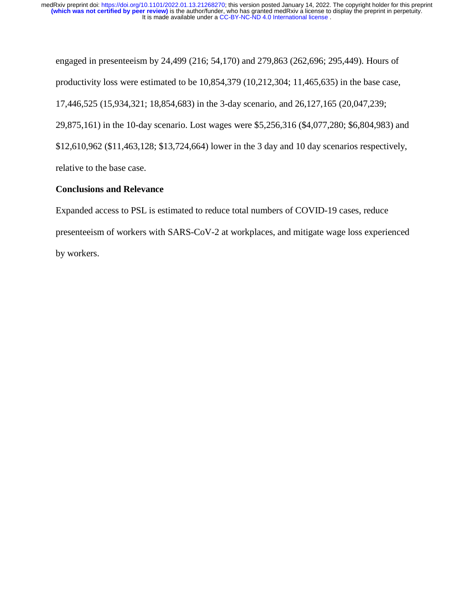engaged in presenteeism by 24,499 (216; 54,170) and 279,863 (262,696; 295,449). Hours of productivity loss were estimated to be 10,854,379 (10,212,304; 11,465,635) in the base case, 17,446,525 (15,934,321; 18,854,683) in the 3-day scenario, and 26,127,165 (20,047,239; 29,875,161) in the 10-day scenario. Lost wages were \$5,256,316 (\$4,077,280; \$6,804,983) and \$12,610,962 (\$11,463,128; \$13,724,664) lower in the 3 day and 10 day scenarios respectively, relative to the base case.

# **Conclusions and Relevance**

Expanded access to PSL is estimated to reduce total numbers of COVID-19 cases, reduce presenteeism of workers with SARS-CoV-2 at workplaces, and mitigate wage loss experienced by workers.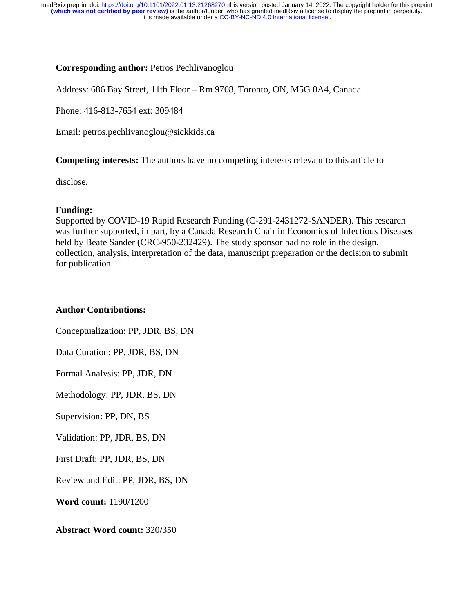## **Corresponding author:** Petros Pechlivanoglou

Address: 686 Bay Street, 11th Floor – Rm 9708, Toronto, ON, M5G 0A4, Canada

Phone: 416-813-7654 ext: 309484

Email: petros.pechlivanoglou@sickkids.ca

**Competing interests:** The authors have no competing interests relevant to this article to

disclose.

## **Funding:**

Supported by COVID-19 Rapid Research Funding (C-291-2431272-SANDER). This research was further supported, in part, by a Canada Research Chair in Economics of Infectious Diseases held by Beate Sander (CRC-950-232429). The study sponsor had no role in the design, collection, analysis, interpretation of the data, manuscript preparation or the decision to submit for publication.

## **Author Contributions:**

Conceptualization: PP, JDR, BS, DN Data Curation: PP, JDR, BS, DN Formal Analysis: PP, JDR, DN Methodology: PP, JDR, BS, DN Supervision: PP, DN, BS Validation: PP, JDR, BS, DN First Draft: PP, JDR, BS, DN

Review and Edit: PP, JDR, BS, DN

**Word count:** 1190/1200

**Abstract Word count:** 320**/**350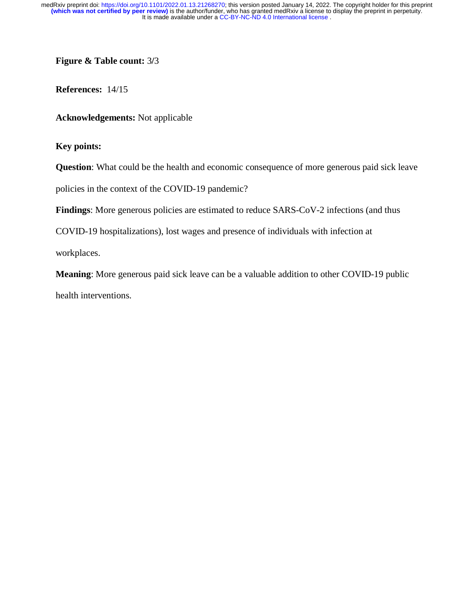**Figure & Table count:** 3**/**3

**References:** 14/15

**Acknowledgements:** Not applicable

**Key points:** 

**Question**: What could be the health and economic consequence of more generous paid sick leave

policies in the context of the COVID-19 pandemic?

**Findings**: More generous policies are estimated to reduce SARS-CoV-2 infections (and thus

COVID-19 hospitalizations), lost wages and presence of individuals with infection at

workplaces.

**Meaning**: More generous paid sick leave can be a valuable addition to other COVID-19 public health interventions.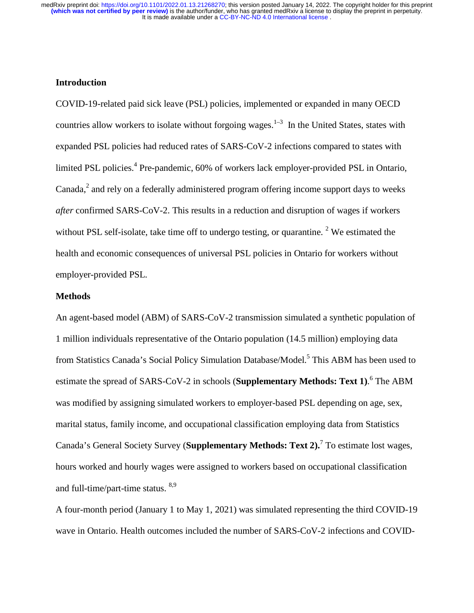## **Introduction**

COVID-19-related paid sick leave (PSL) policies, implemented or expanded in many OECD countries allow workers to isolate without forgoing wages.<sup>1–3</sup> In the United States, states with expanded PSL policies had reduced rates of SARS-CoV-2 infections compared to states with limited PSL policies.<sup>4</sup> Pre-pandemic, 60% of workers lack employer-provided PSL in Ontario, Canada, $<sup>2</sup>$  and rely on a federally administered program offering income support days to weeks</sup> *after* confirmed SARS-CoV-2. This results in a reduction and disruption of wages if workers without PSL self-isolate, take time off to undergo testing, or quarantine.<sup>2</sup> We estimated the health and economic consequences of universal PSL policies in Ontario for workers without employer-provided PSL.

#### **Methods**

An agent-based model (ABM) of SARS-CoV-2 transmission simulated a synthetic population of 1 million individuals representative of the Ontario population (14.5 million) employing data from Statistics Canada's Social Policy Simulation Database/Model.<sup>5</sup> This ABM has been used to estimate the spread of SARS-CoV-2 in schools (**Supplementary Methods: Text 1**).<sup>6</sup> The ABM was modified by assigning simulated workers to employer-based PSL depending on age, sex, marital status, family income, and occupational classification employing data from Statistics Canada's General Society Survey (Supplementary Methods: Text 2).<sup>7</sup> To estimate lost wages, hours worked and hourly wages were assigned to workers based on occupational classification and full-time/part-time status. <sup>8,9</sup>

A four-month period (January 1 to May 1, 2021) was simulated representing the third COVID-19 wave in Ontario. Health outcomes included the number of SARS-CoV-2 infections and COVID-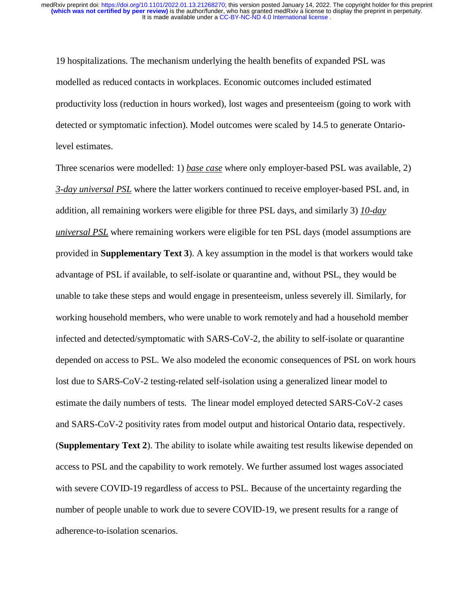19 hospitalizations. The mechanism underlying the health benefits of expanded PSL was modelled as reduced contacts in workplaces. Economic outcomes included estimated productivity loss (reduction in hours worked), lost wages and presenteeism (going to work with detected or symptomatic infection). Model outcomes were scaled by 14.5 to generate Ontariolevel estimates.

Three scenarios were modelled: 1) *base case* where only employer-based PSL was available, 2) *3-day universal PSL* where the latter workers continued to receive employer-based PSL and, in addition, all remaining workers were eligible for three PSL days, and similarly 3) *10-day universal PSL* where remaining workers were eligible for ten PSL days (model assumptions are provided in **Supplementary Text 3**). A key assumption in the model is that workers would take advantage of PSL if available, to self-isolate or quarantine and, without PSL, they would be unable to take these steps and would engage in presenteeism, unless severely ill. Similarly, for working household members, who were unable to work remotely and had a household member infected and detected/symptomatic with SARS-CoV-2, the ability to self-isolate or quarantine depended on access to PSL. We also modeled the economic consequences of PSL on work hours lost due to SARS-CoV-2 testing-related self-isolation using a generalized linear model to estimate the daily numbers of tests. The linear model employed detected SARS-CoV-2 cases and SARS-CoV-2 positivity rates from model output and historical Ontario data, respectively. (**Supplementary Text 2**). The ability to isolate while awaiting test results likewise depended on access to PSL and the capability to work remotely. We further assumed lost wages associated with severe COVID-19 regardless of access to PSL. Because of the uncertainty regarding the number of people unable to work due to severe COVID-19, we present results for a range of adherence-to-isolation scenarios.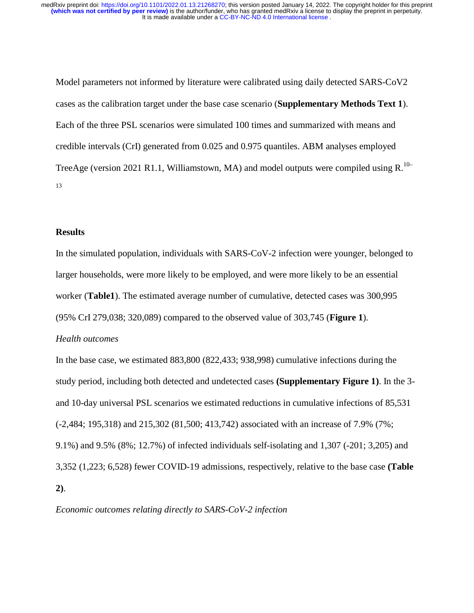Model parameters not informed by literature were calibrated using daily detected SARS-CoV2 cases as the calibration target under the base case scenario (**Supplementary Methods Text 1**). Each of the three PSL scenarios were simulated 100 times and summarized with means and credible intervals (CrI) generated from 0.025 and 0.975 quantiles. ABM analyses employed TreeAge (version 2021 R1.1, Williamstown, MA) and model outputs were compiled using  $R^{10-}$ 13

## **Results**

In the simulated population, individuals with SARS-CoV-2 infection were younger, belonged to larger households, were more likely to be employed, and were more likely to be an essential worker (**Table1**). The estimated average number of cumulative, detected cases was 300,995 (95% CrI 279,038; 320,089) compared to the observed value of 303,745 (**Figure 1**).

#### *Health outcomes*

In the base case, we estimated 883,800 (822,433; 938,998) cumulative infections during the study period, including both detected and undetected cases **(Supplementary Figure 1)**. In the 3 and 10-day universal PSL scenarios we estimated reductions in cumulative infections of 85,531 (-2,484; 195,318) and 215,302 (81,500; 413,742) associated with an increase of 7.9% (7%; 9.1%) and 9.5% (8%; 12.7%) of infected individuals self-isolating and 1,307 (-201; 3,205) and 3,352 (1,223; 6,528) fewer COVID-19 admissions, respectively, relative to the base case **(Table 2)**.

*Economic outcomes relating directly to SARS-CoV-2 infection*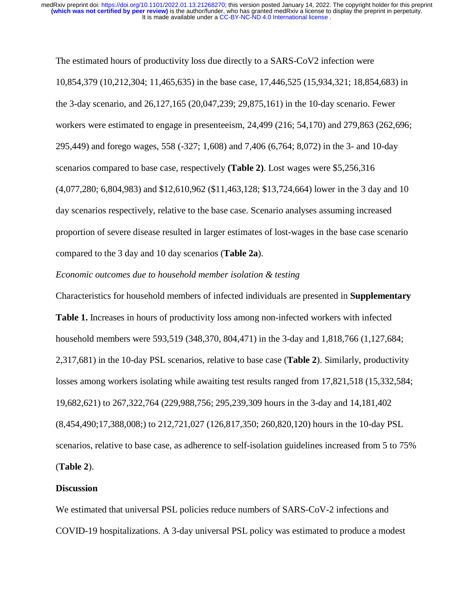The estimated hours of productivity loss due directly to a SARS-CoV2 infection were 10,854,379 (10,212,304; 11,465,635) in the base case, 17,446,525 (15,934,321; 18,854,683) in the 3-day scenario, and 26,127,165 (20,047,239; 29,875,161) in the 10-day scenario. Fewer workers were estimated to engage in presenteeism, 24,499 (216; 54,170) and 279,863 (262,696; 295,449) and forego wages, 558 (-327; 1,608) and 7,406 (6,764; 8,072) in the 3- and 10-day scenarios compared to base case, respectively **(Table 2)**. Lost wages were \$5,256,316 (4,077,280; 6,804,983) and \$12,610,962 (\$11,463,128; \$13,724,664) lower in the 3 day and 10 day scenarios respectively, relative to the base case. Scenario analyses assuming increased proportion of severe disease resulted in larger estimates of lost-wages in the base case scenario compared to the 3 day and 10 day scenarios (**Table 2a**).

#### *Economic outcomes due to household member isolation & testing*

Characteristics for household members of infected individuals are presented in **Supplementary Table 1.** Increases in hours of productivity loss among non-infected workers with infected household members were 593,519 (348,370, 804,471) in the 3-day and 1,818,766 (1,127,684; 2,317,681) in the 10-day PSL scenarios, relative to base case (**Table 2**). Similarly, productivity losses among workers isolating while awaiting test results ranged from 17,821,518 (15,332,584; 19,682,621) to 267,322,764 (229,988,756; 295,239,309 hours in the 3-day and 14,181,402 (8,454,490;17,388,008;) to 212,721,027 (126,817,350; 260,820,120) hours in the 10-day PSL scenarios, relative to base case, as adherence to self-isolation guidelines increased from 5 to 75% (**Table 2**).

#### **Discussion**

We estimated that universal PSL policies reduce numbers of SARS-CoV-2 infections and COVID-19 hospitalizations. A 3-day universal PSL policy was estimated to produce a modest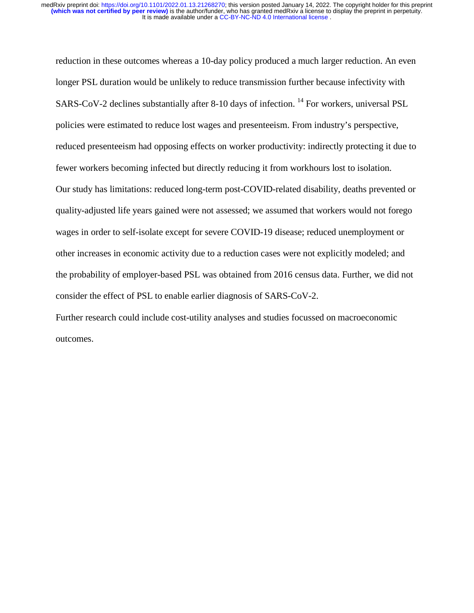reduction in these outcomes whereas a 10-day policy produced a much larger reduction. An even longer PSL duration would be unlikely to reduce transmission further because infectivity with SARS-CoV-2 declines substantially after 8-10 days of infection.  $^{14}$  For workers, universal PSL policies were estimated to reduce lost wages and presenteeism. From industry's perspective, reduced presenteeism had opposing effects on worker productivity: indirectly protecting it due to fewer workers becoming infected but directly reducing it from workhours lost to isolation. Our study has limitations: reduced long-term post-COVID-related disability, deaths prevented or quality-adjusted life years gained were not assessed; we assumed that workers would not forego wages in order to self-isolate except for severe COVID-19 disease; reduced unemployment or other increases in economic activity due to a reduction cases were not explicitly modeled; and the probability of employer-based PSL was obtained from 2016 census data. Further, we did not consider the effect of PSL to enable earlier diagnosis of SARS-CoV-2.

Further research could include cost-utility analyses and studies focussed on macroeconomic outcomes.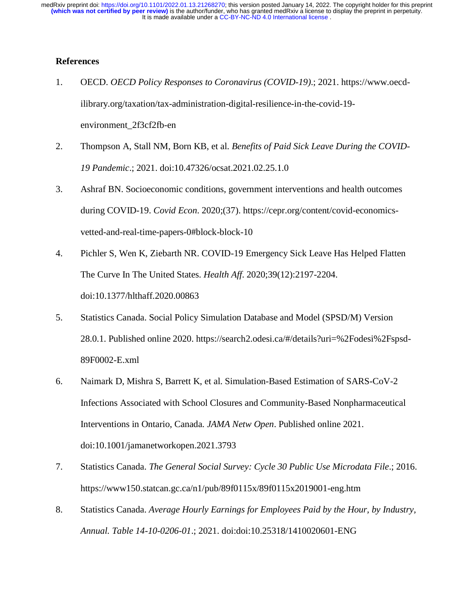## **References**

- 1. OECD. *OECD Policy Responses to Coronavirus (COVID-19)*.; 2021. https://www.oecdilibrary.org/taxation/tax-administration-digital-resilience-in-the-covid-19 environment\_2f3cf2fb-en
- 2. Thompson A, Stall NM, Born KB, et al. *Benefits of Paid Sick Leave During the COVID-19 Pandemic*.; 2021. doi:10.47326/ocsat.2021.02.25.1.0
- 3. Ashraf BN. Socioeconomic conditions, government interventions and health outcomes during COVID-19. *Covid Econ*. 2020;(37). https://cepr.org/content/covid-economicsvetted-and-real-time-papers-0#block-block-10
- 4. Pichler S, Wen K, Ziebarth NR. COVID-19 Emergency Sick Leave Has Helped Flatten The Curve In The United States. *Health Aff*. 2020;39(12):2197-2204. doi:10.1377/hlthaff.2020.00863
- 5. Statistics Canada. Social Policy Simulation Database and Model (SPSD/M) Version 28.0.1. Published online 2020. https://search2.odesi.ca/#/details?uri=%2Fodesi%2Fspsd-89F0002-E.xml
- 6. Naimark D, Mishra S, Barrett K, et al. Simulation-Based Estimation of SARS-CoV-2 Infections Associated with School Closures and Community-Based Nonpharmaceutical Interventions in Ontario, Canada. *JAMA Netw Open*. Published online 2021. doi:10.1001/jamanetworkopen.2021.3793
- 7. Statistics Canada. *The General Social Survey: Cycle 30 Public Use Microdata File*.; 2016. https://www150.statcan.gc.ca/n1/pub/89f0115x/89f0115x2019001-eng.htm
- 8. Statistics Canada. *Average Hourly Earnings for Employees Paid by the Hour, by Industry, Annual. Table 14-10-0206-01*.; 2021. doi:doi:10.25318/1410020601-ENG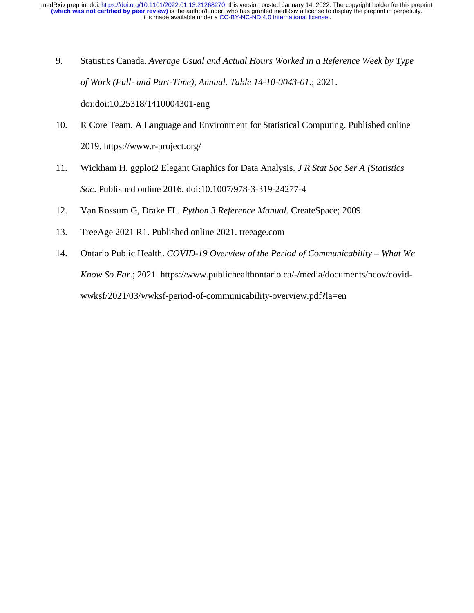- 9. Statistics Canada. *Average Usual and Actual Hours Worked in a Reference Week by Type of Work (Full- and Part-Time), Annual. Table 14-10-0043-01*.; 2021. doi:doi:10.25318/1410004301-eng
- 10. R Core Team. A Language and Environment for Statistical Computing. Published online 2019. https://www.r-project.org/
- 11. Wickham H. ggplot2 Elegant Graphics for Data Analysis. *J R Stat Soc Ser A (Statistics Soc*. Published online 2016. doi:10.1007/978-3-319-24277-4
- 12. Van Rossum G, Drake FL. *Python 3 Reference Manual*. CreateSpace; 2009.
- 13. TreeAge 2021 R1. Published online 2021. treeage.com
- 14. Ontario Public Health. *COVID-19 Overview of the Period of Communicability What We Know So Far*.; 2021. https://www.publichealthontario.ca/-/media/documents/ncov/covidwwksf/2021/03/wwksf-period-of-communicability-overview.pdf?la=en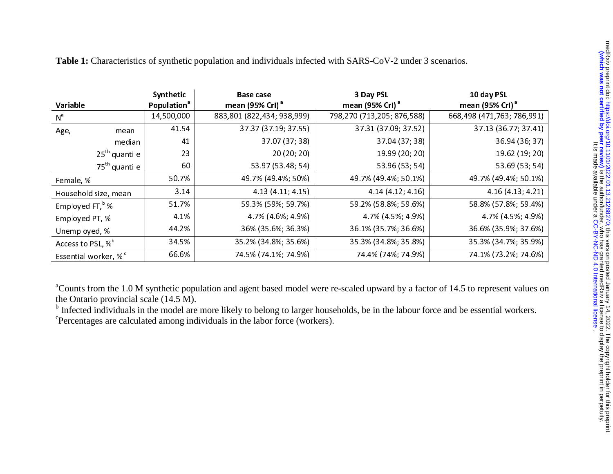|                           |                                           | Synthetic                      | <b>Base case</b>                                                                                                                                                                                                                                                                                                                                                                             | 3 Day PSL                   | 10 day PSL                  |
|---------------------------|-------------------------------------------|--------------------------------|----------------------------------------------------------------------------------------------------------------------------------------------------------------------------------------------------------------------------------------------------------------------------------------------------------------------------------------------------------------------------------------------|-----------------------------|-----------------------------|
| Variable                  |                                           | <b>Population</b> <sup>ª</sup> | mean (95% Crl) <sup>a</sup>                                                                                                                                                                                                                                                                                                                                                                  | mean (95% Crl) <sup>a</sup> | mean (95% Crl) <sup>a</sup> |
| $N^a$                     |                                           | 14,500,000                     | 883,801 (822,434; 938,999)                                                                                                                                                                                                                                                                                                                                                                   | 798,270 (713,205; 876,588)  | 668,498 (471,763; 786,991)  |
| Age,                      | mean                                      | 41.54                          | 37.37 (37.19; 37.55)                                                                                                                                                                                                                                                                                                                                                                         | 37.31 (37.09; 37.52)        | 37.13 (36.77; 37.41)        |
|                           | median                                    | 41                             | 37.07 (37; 38)                                                                                                                                                                                                                                                                                                                                                                               | 37.04 (37; 38)              | 36.94 (36; 37)              |
|                           | $25th$ quantile                           | 23                             | 20 (20; 20)                                                                                                                                                                                                                                                                                                                                                                                  | 19.99 (20; 20)              | 19.62 (19; 20)              |
|                           | 75 <sup>th</sup> quantile                 | 60                             | 53.97 (53.48; 54)                                                                                                                                                                                                                                                                                                                                                                            | 53.96 (53; 54)              | 53.69 (53; 54)              |
| Female, %                 |                                           | 50.7%                          | 49.7% (49.4%; 50%)                                                                                                                                                                                                                                                                                                                                                                           | 49.7% (49.4%; 50.1%)        | 49.7% (49.4%; 50.1%)        |
|                           | Household size, mean                      | 3.14                           | 4.13 (4.11; 4.15)                                                                                                                                                                                                                                                                                                                                                                            | 4.14 (4.12; 4.16)           | 4.16 (4.13; 4.21)           |
| Employed FT, $^{\rm b}$ % |                                           | 51.7%                          | 59.3% (59%; 59.7%)                                                                                                                                                                                                                                                                                                                                                                           | 59.2% (58.8%; 59.6%)        | 58.8% (57.8%; 59.4%)        |
| Employed PT, %            |                                           | 4.1%                           | 4.7% (4.6%; 4.9%)                                                                                                                                                                                                                                                                                                                                                                            | 4.7% (4.5%; 4.9%)           | 4.7% (4.5%; 4.9%)           |
| Unemployed, %             |                                           | 44.2%                          | 36% (35.6%; 36.3%)                                                                                                                                                                                                                                                                                                                                                                           | 36.1% (35.7%; 36.6%)        | 36.6% (35.9%; 37.6%)        |
|                           | Access to PSL, % <sup>b</sup>             | 34.5%                          | 35.2% (34.8%; 35.6%)                                                                                                                                                                                                                                                                                                                                                                         | 35.3% (34.8%; 35.8%)        | 35 3% (34 7%; 35 9%)        |
|                           | Essential worker, % <sup>c</sup>          | 66.6%                          | 74.5% (74.1%; 74.9%)                                                                                                                                                                                                                                                                                                                                                                         | 74 4% (74%; 74 9%)          | 74.1% (73.2%; 74.6%)        |
|                           | the Ontario provincial scale $(14.5 M)$ . |                                | <sup>a</sup> Counts from the 1.0 M synthetic population and agent based model were re-scaled upward by a factor of 14.5 to represent values on<br><sup>b</sup> Infected individuals in the model are more likely to belong to larger households, be in the labour force and be essential workers.<br><sup>c</sup> Percentages are calculated among individuals in the labor force (workers). |                             |                             |

**Table 1:** Characteristics of synthetic population and individuals infected with SARS-CoV-2 under 3 scenarios.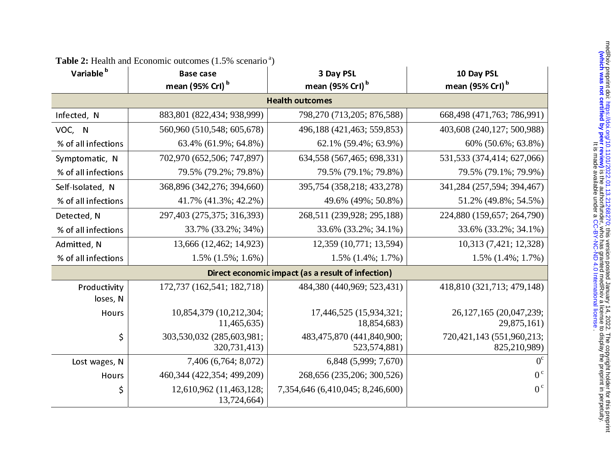| Variable <sup>b</sup>                             | <b>Base case</b><br>mean (95% Crl) <sup>b</sup> | 3 Day PSL<br>mean (95% Crl) <sup>b</sup>    | 10 Day PSL<br>mean (95% Crl) <sup>b</sup>     |
|---------------------------------------------------|-------------------------------------------------|---------------------------------------------|-----------------------------------------------|
|                                                   |                                                 | <b>Health outcomes</b>                      |                                               |
| Infected, N                                       | 883,801 (822,434; 938,999)                      | 798,270 (713,205; 876,588)                  | 668,498 (471,763; 786,991)                    |
| VOC, N                                            | 560,960 (510,548; 605,678)                      | 496,188 (421,463; 559,853)                  | 403,608 (240,127; 500,988)                    |
| % of all infections                               | 63.4% (61.9%; 64.8%)                            | 62.1% (59.4%; 63.9%)                        | 60% (50.6%; 63.8%)                            |
| Symptomatic, N                                    | 702,970 (652,506; 747,897)                      | 634, 558 (567, 465; 698, 331)               | 531,533 (374,414; 627,066)                    |
| % of all infections                               | 79.5% (79.2%; 79.8%)                            | 79.5% (79.1%; 79.8%)                        | 79.5% (79.1%; 79.9%)                          |
| Self-Isolated, N                                  | 368,896 (342,276; 394,660)                      | 395,754 (358,218; 433,278)                  | 341,284 (257,594; 394,467)                    |
| % of all infections                               | 41.7% (41.3%; 42.2%)                            | 49.6% (49%; 50.8%)                          | 51.2% (49.8%; 54.5%)                          |
| Detected, N                                       | 297,403 (275,375; 316,393)                      | 268,511 (239,928; 295,188)                  | 224,880 (159,657; 264,790)                    |
| % of all infections                               | 33.7% (33.2%; 34%)                              | 33.6% (33.2%; 34.1%)                        | 33.6% (33.2%; 34.1%)                          |
| Admitted, N                                       | 13,666 (12,462; 14,923)                         | 12,359 (10,771; 13,594)                     | 10,313 (7,421; 12,328)                        |
| % of all infections                               | $1.5\%$ $(1.5\%; 1.6\%)$                        | $1.5\%$ $(1.4\%; 1.7\%)$                    | $1.5\%$ $(1.4\%; 1.7\%)$                      |
| Direct economic impact (as a result of infection) |                                                 |                                             |                                               |
| Productivity<br>loses, N                          | 172,737 (162,541; 182,718)                      | 484,380 (440,969; 523,431)                  | 418,810 (321,713; 479,148)                    |
| Hours                                             | 10,854,379 (10,212,304;<br>11,465,635)          | 17,446,525 (15,934,321;<br>18,854,683)      | 26, 127, 165 (20, 047, 239;<br>29,875,161)    |
| \$                                                | 303,530,032 (285,603,981;<br>320,731,413)       | 483,475,870 (441,840,900;<br>523, 574, 881) | 720, 421, 143 (551, 960, 213;<br>825,210,989) |
| Lost wages, N                                     | 7,406 (6,764; 8,072)                            | 6,848 (5,999; 7,670)                        | $0^{\circ}$                                   |
| Hours                                             | 460, 344 (422, 354; 499, 209)                   | 268,656 (235,206; 300,526)                  | 0 <sup>c</sup>                                |
| \$                                                | 12,610,962 (11,463,128;<br>13,724,664)          | 7,354,646 (6,410,045; 8,246,600)            | $0^{\circ}$                                   |

| <b>Table 2:</b> Health and Economic outcomes $(1.5\% \text{ scenario}^a)$ |  |
|---------------------------------------------------------------------------|--|
|                                                                           |  |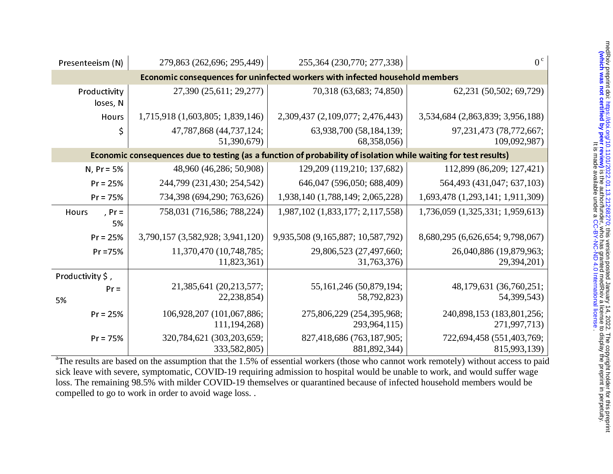| Presenteeism (N)                                                                                                | 279,863 (262,696; 295,449)                  | 255,364 (230,770; 277,338)                  | $0^{\circ}$                                 |  |
|-----------------------------------------------------------------------------------------------------------------|---------------------------------------------|---------------------------------------------|---------------------------------------------|--|
| Economic consequences for uninfected workers with infected household members                                    |                                             |                                             |                                             |  |
| Productivity<br>loses, N                                                                                        | 27,390 (25,611; 29,277)                     | 70,318 (63,683; 74,850)                     | 62,231 (50,502; 69,729)                     |  |
| Hours                                                                                                           | 1,715,918 (1,603,805; 1,839,146)            | 2,309,437 (2,109,077; 2,476,443)            | 3,534,684 (2,863,839; 3,956,188)            |  |
| \$                                                                                                              | 47,787,868 (44,737,124;<br>51,390,679)      | 63,938,700 (58,184,139;<br>68,358,056)      | 97, 231, 473 (78, 772, 667;<br>109,092,987) |  |
| Economic consequences due to testing (as a function of probability of isolation while waiting for test results) |                                             |                                             |                                             |  |
| $N, Pr = 5%$                                                                                                    | 48,960 (46,286; 50,908)                     | 129,209 (119,210; 137,682)                  | 112,899 (86,209; 127,421)                   |  |
| $Pr = 25%$                                                                                                      | 244,799 (231,430; 254,542)                  | 646,047 (596,050; 688,409)                  | 564,493 (431,047; 637,103)                  |  |
| $Pr = 75%$                                                                                                      | 734,398 (694,290; 763,626)                  | 1,938,140 (1,788,149; 2,065,228)            | 1,693,478 (1,293,141; 1,911,309)            |  |
| , $Pr =$<br>Hours<br>5%                                                                                         | 758,031 (716,586; 788,224)                  | 1,987,102 (1,833,177; 2,117,558)            | 1,736,059 (1,325,331; 1,959,613)            |  |
| $Pr = 25%$                                                                                                      | 3,790,157 (3,582,928; 3,941,120)            | 9,935,508 (9,165,887; 10,587,792)           | 8,680,295 (6,626,654; 9,798,067)            |  |
| $Pr = 75%$                                                                                                      | 11,370,470 (10,748,785;<br>11,823,361)      | 29,806,523 (27,497,660;<br>31,763,376)      | 26,040,886 (19,879,963;<br>29,394,201)      |  |
| Productivity \$,                                                                                                |                                             |                                             |                                             |  |
| $Pr =$<br>5%                                                                                                    | 21,385,641 (20,213,577;<br>22,238,854)      | 55, 161, 246 (50, 879, 194;<br>58,792,823)  | 48, 179, 631 (36, 760, 251;<br>54,399,543)  |  |
| $Pr = 25%$                                                                                                      | 106,928,207 (101,067,886;<br>111, 194, 268) | 275,806,229 (254,395,968;<br>293,964,115)   | 240,898,153 (183,801,256;<br>271,997,713)   |  |
| $Pr = 75%$                                                                                                      | 320,784,621 (303,203,659;<br>333,582,805)   | 827,418,686 (763,187,905;<br>881, 892, 344) | 722,694,458 (551,403,769;<br>815,993,139)   |  |

<sup>a</sup>The results are based on the assumption that the 1.5% of essential workers (those who cannot work remotely) without access to paid sick leave with severe, symptomatic, COVID-19 requiring admission to hospital would be unable to work, and would suffer wage loss. The remaining 98.5% with milder COVID-19 themselves or quarantined because of infected household members would be compelled to go to work in order to avoid wage loss. .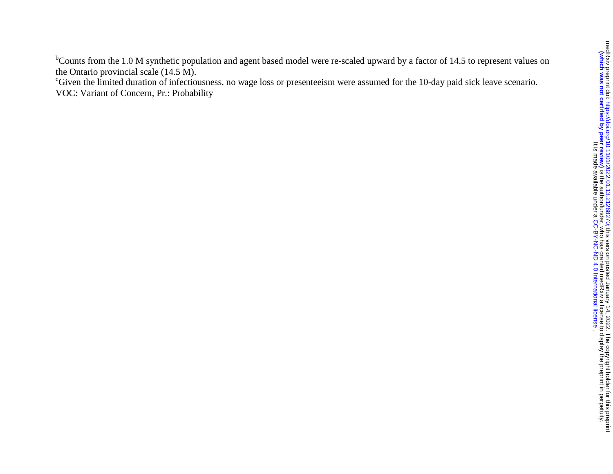$b$ Counts from the 1.0 M synthetic population and agent based model were re-scaled upward by a factor of 14.5 to represent values on the Ontario provincial scale (14.5 M).

<sup>c</sup>Given the limited duration of infectiousness, no wage loss or presenteeism were assumed for the 10-day paid sick leave scenario. VOC: Variant of Concern, Pr.: Probability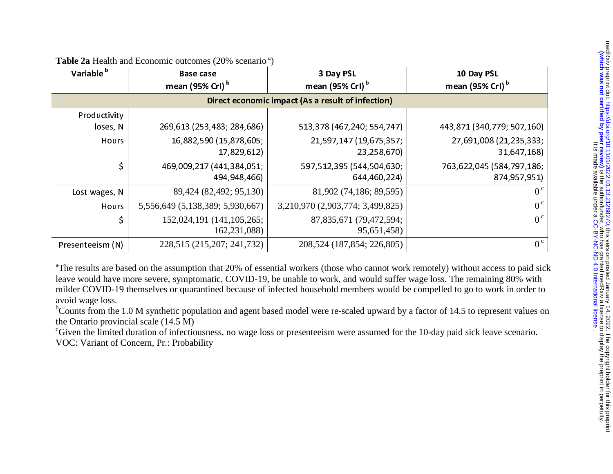| Variable <sup>b</sup> | <b>Base case</b><br>mean (95% Crl) <sup>b</sup> | 3 Day PSL<br>mean (95% Crl) <sup>b</sup>          | 10 Day PSL<br>mean (95% Crl) <sup>b</sup> |
|-----------------------|-------------------------------------------------|---------------------------------------------------|-------------------------------------------|
|                       |                                                 | Direct economic impact (As a result of infection) |                                           |
| Productivity          |                                                 |                                                   |                                           |
| loses, N              | 269,613 (253,483; 284,686)                      | 513,378 (467,240; 554,747)                        | 443,871 (340,779; 507,160)                |
| Hours                 | 16,882,590 (15,878,605;                         | 21,597,147 (19,675,357;                           | 27,691,008 (21,235,333;                   |
|                       | 17,829,612)                                     | 23,258,670)                                       | 31,647,168)                               |
| \$                    | 469,009,217 (441,384,051;                       | 597,512,395 (544,504,630;                         | 763,622,045 (584,797,186;                 |
|                       | 494,948,466)                                    | 644,460,224)                                      | 874,957,951)                              |
| Lost wages, N         | 89,424 (82,492; 95,130)                         | 81,902 (74,186; 89,595)                           | $0^{\circ}$                               |
| Hours                 | 5,556,649 (5,138,389; 5,930,667)                | 3,210,970 (2,903,774; 3,499,825)                  | $0^{\circ}$                               |
| \$                    | 152,024,191 (141,105,265;                       | 87,835,671 (79,472,594;                           | $0^{\circ}$                               |
|                       | 162,231,088)                                    | 95,651,458)                                       |                                           |
| Presenteeism (N)      | 228,515 (215,207; 241,732)                      | 208, 524 (187, 854; 226, 805)                     | $0^{\circ}$                               |

**Table 2a** Health and Economic outcomes (20% scenario<sup>a</sup>)

<sup>a</sup>The results are based on the assumption that 20% of essential workers (those who cannot work remotely) without access to paid sick leave would have more severe, symptomatic, COVID-19, be unable to work, and would suffer wage loss. The remaining 80% with milder COVID-19 themselves or quarantined because of infected household members would be compelled to go to work in order to avoid wage loss.

<sup>b</sup>Counts from the 1.0 M synthetic population and agent based model were re-scaled upward by a factor of 14.5 to represent values on the Ontario provincial scale (14.5 M)

<sup>c</sup>Given the limited duration of infectiousness, no wage loss or presenteeism were assumed for the 10-day paid sick leave scenario. VOC: Variant of Concern, Pr.: Probability